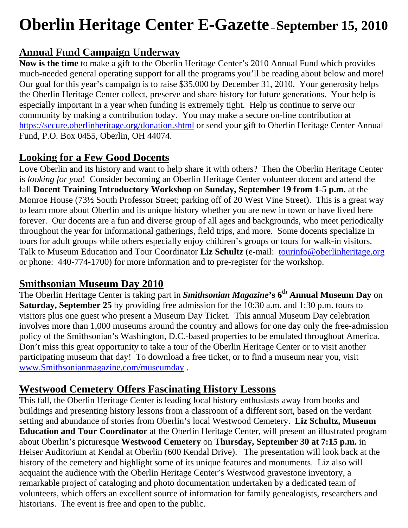# **Oberlin Heritage Center E-Gazette – September 15, 2010**

# **Annual Fund Campaign Underway**

**Now is the time** to make a gift to the Oberlin Heritage Center's 2010 Annual Fund which provides much-needed general operating support for all the programs you'll be reading about below and more! Our goal for this year's campaign is to raise \$35,000 by December 31, 2010. Your generosity helps the Oberlin Heritage Center collect, preserve and share history for future generations. Your help is especially important in a year when funding is extremely tight. Help us continue to serve our community by making a contribution today. You may make a secure on-line contribution at https://secure.oberlinheritage.org/donation.shtml or send your gift to Oberlin Heritage Center Annual Fund, P.O. Box 0455, Oberlin, OH 44074.

### **Looking for a Few Good Docents**

Love Oberlin and its history and want to help share it with others? Then the Oberlin Heritage Center is *looking for you*! Consider becoming an Oberlin Heritage Center volunteer docent and attend the fall **Docent Training Introductory Workshop** on **Sunday, September 19 from 1-5 p.m.** at the Monroe House (73½ South Professor Street; parking off of 20 West Vine Street). This is a great way to learn more about Oberlin and its unique history whether you are new in town or have lived here forever. Our docents are a fun and diverse group of all ages and backgrounds, who meet periodically throughout the year for informational gatherings, field trips, and more. Some docents specialize in tours for adult groups while others especially enjoy children's groups or tours for walk-in visitors. Talk to Museum Education and Tour Coordinator **Liz Schultz** (e-mail: tourinfo@oberlinheritage.org or phone: 440-774-1700) for more information and to pre-register for the workshop.

#### **Smithsonian Museum Day 2010**

The Oberlin Heritage Center is taking part in *Smithsonian Magazine***'s 6th Annual Museum Day** on **Saturday, September 25** by providing free admission for the 10:30 a.m. and 1:30 p.m. tours to visitors plus one guest who present a Museum Day Ticket. This annual Museum Day celebration involves more than 1,000 museums around the country and allows for one day only the free-admission policy of the Smithsonian's Washington, D.C.-based properties to be emulated throughout America. Don't miss this great opportunity to take a tour of the Oberlin Heritage Center or to visit another participating museum that day! To download a free ticket, or to find a museum near you, visit www.Smithsonianmagazine.com/museumday .

#### **Westwood Cemetery Offers Fascinating History Lessons**

This fall, the Oberlin Heritage Center is leading local history enthusiasts away from books and buildings and presenting history lessons from a classroom of a different sort, based on the verdant setting and abundance of stories from Oberlin's local Westwood Cemetery. **Liz Schultz, Museum Education and Tour Coordinator** at the Oberlin Heritage Center, will present an illustrated program about Oberlin's picturesque **Westwood Cemetery** on **Thursday, September 30 at 7:15 p.m.** in Heiser Auditorium at Kendal at Oberlin (600 Kendal Drive). The presentation will look back at the history of the cemetery and highlight some of its unique features and monuments. Liz also will acquaint the audience with the Oberlin Heritage Center's Westwood gravestone inventory, a remarkable project of cataloging and photo documentation undertaken by a dedicated team of volunteers, which offers an excellent source of information for family genealogists, researchers and historians. The event is free and open to the public.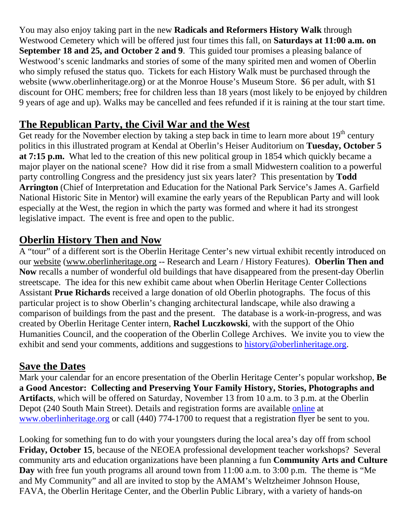You may also enjoy taking part in the new **Radicals and Reformers History Walk** through Westwood Cemetery which will be offered just four times this fall, on **Saturdays at 11:00 a.m. on September 18 and 25, and October 2 and 9**. This guided tour promises a pleasing balance of Westwood's scenic landmarks and stories of some of the many spirited men and women of Oberlin who simply refused the status quo. Tickets for each History Walk must be purchased through the website (www.oberlinheritage.org) or at the Monroe House's Museum Store. \$6 per adult, with \$1 discount for OHC members; free for children less than 18 years (most likely to be enjoyed by children 9 years of age and up). Walks may be cancelled and fees refunded if it is raining at the tour start time.

# **The Republican Party, the Civil War and the West**

Get ready for the November election by taking a step back in time to learn more about 19<sup>th</sup> century politics in this illustrated program at Kendal at Oberlin's Heiser Auditorium on **Tuesday, October 5 at 7:15 p.m.** What led to the creation of this new political group in 1854 which quickly became a major player on the national scene? How did it rise from a small Midwestern coalition to a powerful party controlling Congress and the presidency just six years later? This presentation by **Todd Arrington** (Chief of Interpretation and Education for the National Park Service's James A. Garfield National Historic Site in Mentor) will examine the early years of the Republican Party and will look especially at the West, the region in which the party was formed and where it had its strongest legislative impact. The event is free and open to the public.

### **Oberlin History Then and Now**

A "tour" of a different sort is the Oberlin Heritage Center's new virtual exhibit recently introduced on our website (www.oberlinheritage.org -- Research and Learn / History Features). **Oberlin Then and Now** recalls a number of wonderful old buildings that have disappeared from the present-day Oberlin streetscape. The idea for this new exhibit came about when Oberlin Heritage Center Collections Assistant **Prue Richards** received a large donation of old Oberlin photographs. The focus of this particular project is to show Oberlin's changing architectural landscape, while also drawing a comparison of buildings from the past and the present. The database is a work-in-progress, and was created by Oberlin Heritage Center intern, **Rachel Luczkowski**, with the support of the Ohio Humanities Council, and the cooperation of the Oberlin College Archives. We invite you to view the exhibit and send your comments, additions and suggestions to history@oberlinheritage.org.

## **Save the Dates**

Mark your calendar for an encore presentation of the Oberlin Heritage Center's popular workshop, **Be a Good Ancestor: Collecting and Preserving Your Family History, Stories, Photographs and Artifacts**, which will be offered on Saturday, November 13 from 10 a.m. to 3 p.m. at the Oberlin Depot (240 South Main Street). Details and registration forms are available online at www.oberlinheritage.org or call (440) 774-1700 to request that a registration flyer be sent to you.

Looking for something fun to do with your youngsters during the local area's day off from school **Friday, October 15**, because of the NEOEA professional development teacher workshops? Several community arts and education organizations have been planning a fun **Community Arts and Culture Day** with free fun youth programs all around town from 11:00 a.m. to 3:00 p.m. The theme is "Me and My Community" and all are invited to stop by the AMAM's Weltzheimer Johnson House, FAVA, the Oberlin Heritage Center, and the Oberlin Public Library, with a variety of hands-on